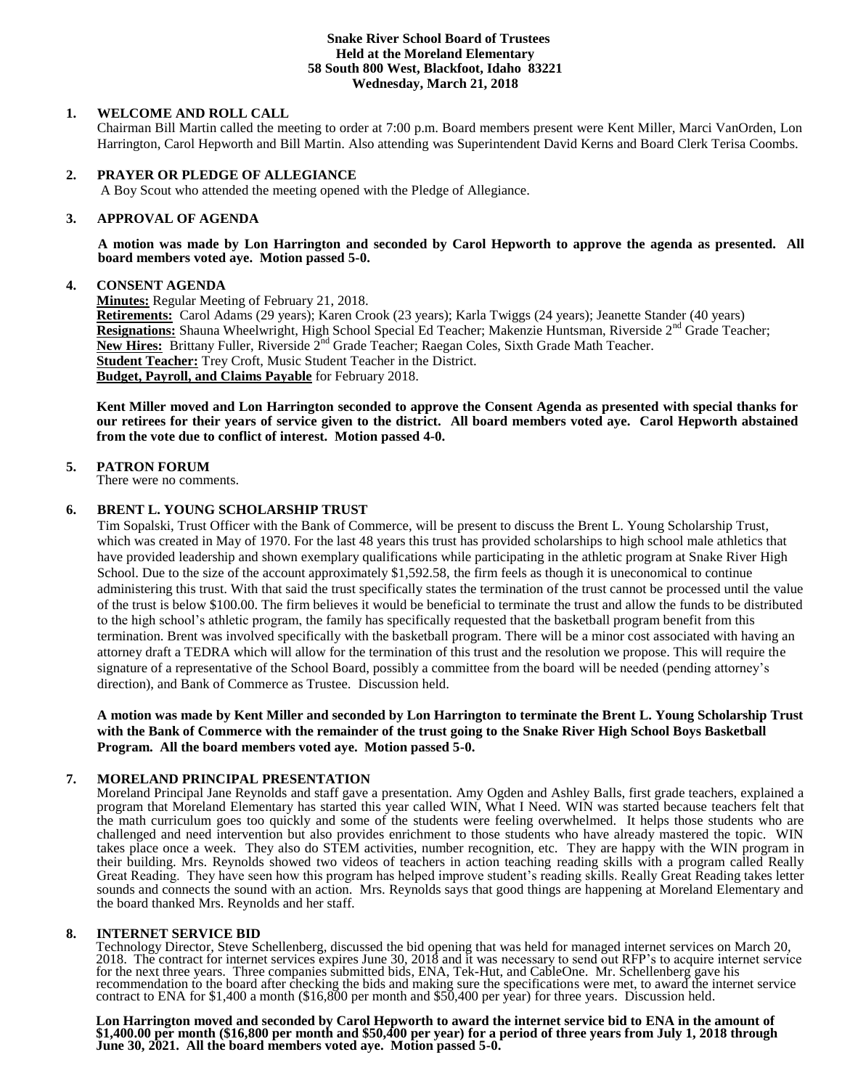## **Snake River School Board of Trustees Held at the Moreland Elementary 58 South 800 West, Blackfoot, Idaho 83221 Wednesday, March 21, 2018**

# **1. WELCOME AND ROLL CALL**

Chairman Bill Martin called the meeting to order at 7:00 p.m. Board members present were Kent Miller, Marci VanOrden, Lon Harrington, Carol Hepworth and Bill Martin. Also attending was Superintendent David Kerns and Board Clerk Terisa Coombs.

# **2. PRAYER OR PLEDGE OF ALLEGIANCE**

A Boy Scout who attended the meeting opened with the Pledge of Allegiance.

## **3. APPROVAL OF AGENDA**

**A motion was made by Lon Harrington and seconded by Carol Hepworth to approve the agenda as presented. All board members voted aye. Motion passed 5-0.**

## **4. CONSENT AGENDA**

**Minutes:** Regular Meeting of February 21, 2018.

**Retirements:** Carol Adams (29 years); Karen Crook (23 years); Karla Twiggs (24 years); Jeanette Stander (40 years) **Resignations:** Shauna Wheelwright, High School Special Ed Teacher; Makenzie Huntsman, Riverside 2<sup>nd</sup> Grade Teacher; New Hires: Brittany Fuller, Riverside 2<sup>nd</sup> Grade Teacher; Raegan Coles, Sixth Grade Math Teacher. **Student Teacher:** Trey Croft, Music Student Teacher in the District. **Budget, Payroll, and Claims Payable** for February 2018.

**Kent Miller moved and Lon Harrington seconded to approve the Consent Agenda as presented with special thanks for our retirees for their years of service given to the district. All board members voted aye. Carol Hepworth abstained from the vote due to conflict of interest. Motion passed 4-0.**

## **5. PATRON FORUM**

There were no comments.

## **6. BRENT L. YOUNG SCHOLARSHIP TRUST**

Tim Sopalski, Trust Officer with the Bank of Commerce, will be present to discuss the Brent L. Young Scholarship Trust, which was created in May of 1970. For the last 48 years this trust has provided scholarships to high school male athletics that have provided leadership and shown exemplary qualifications while participating in the athletic program at Snake River High School. Due to the size of the account approximately \$1,592.58, the firm feels as though it is uneconomical to continue administering this trust. With that said the trust specifically states the termination of the trust cannot be processed until the value of the trust is below \$100.00. The firm believes it would be beneficial to terminate the trust and allow the funds to be distributed to the high school's athletic program, the family has specifically requested that the basketball program benefit from this termination. Brent was involved specifically with the basketball program. There will be a minor cost associated with having an attorney draft a TEDRA which will allow for the termination of this trust and the resolution we propose. This will require the signature of a representative of the School Board, possibly a committee from the board will be needed (pending attorney's direction), and Bank of Commerce as Trustee. Discussion held.

**A motion was made by Kent Miller and seconded by Lon Harrington to terminate the Brent L. Young Scholarship Trust with the Bank of Commerce with the remainder of the trust going to the Snake River High School Boys Basketball Program. All the board members voted aye. Motion passed 5-0.**

# **7. MORELAND PRINCIPAL PRESENTATION**

Moreland Principal Jane Reynolds and staff gave a presentation. Amy Ogden and Ashley Balls, first grade teachers, explained a program that Moreland Elementary has started this year called WIN, What I Need. WIN was started because teachers felt that the math curriculum goes too quickly and some of the students were feeling overwhelmed. It helps those students who are challenged and need intervention but also provides enrichment to those students who have already mastered the topic. WIN takes place once a week. They also do STEM activities, number recognition, etc. They are happy with the WIN program in their building. Mrs. Reynolds showed two videos of teachers in action teaching reading skills with a program called Really Great Reading. They have seen how this program has helped improve student's reading skills. Really Great Reading takes letter sounds and connects the sound with an action. Mrs. Reynolds says that good things are happening at Moreland Elementary and the board thanked Mrs. Reynolds and her staff.

## **8. INTERNET SERVICE BID**

Technology Director, Steve Schellenberg, discussed the bid opening that was held for managed internet services on March 20, 2018. The contract for internet services expires June 30, 2018 and it was necessary to send out RFP's to acquire internet service for the next three years. Three companies submitted bids, ENA, Tek-Hut, and CableOne. Mr. Schellenberg gave his recommendation to the board after checking the bids and making sure the specifications were met, to award the internet service contract to ENA for \$1,400 a month (\$16,800 per month and \$50,400 per year) for three years. Discussion held.

**Lon Harrington moved and seconded by Carol Hepworth to award the internet service bid to ENA in the amount of \$1,400.00 per month (\$16,800 per month and \$50,400 per year) for a period of three years from July 1, 2018 through June 30, 2021. All the board members voted aye. Motion passed 5-0.**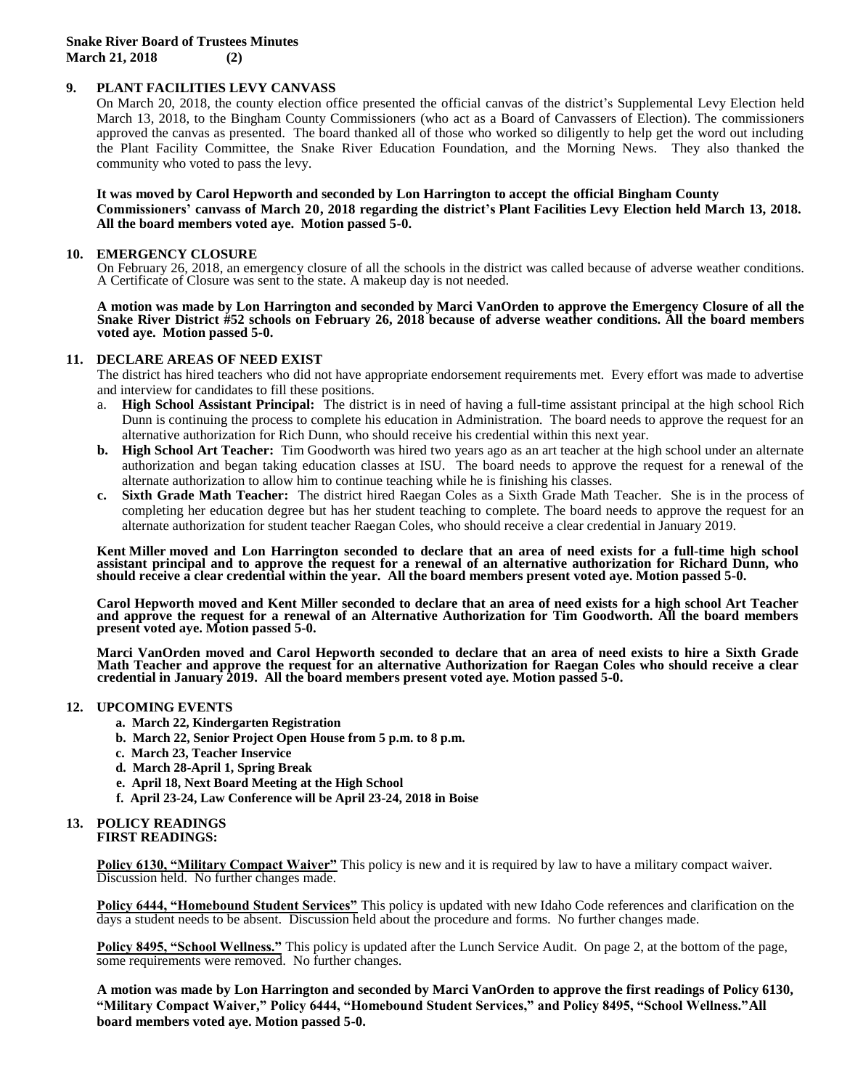**Snake River Board of Trustees Minutes March 21, 2018 (2)**

## **9. PLANT FACILITIES LEVY CANVASS**

On March 20, 2018, the county election office presented the official canvas of the district's Supplemental Levy Election held March 13, 2018, to the Bingham County Commissioners (who act as a Board of Canvassers of Election). The commissioners approved the canvas as presented. The board thanked all of those who worked so diligently to help get the word out including the Plant Facility Committee, the Snake River Education Foundation, and the Morning News. They also thanked the community who voted to pass the levy.

#### **It was moved by Carol Hepworth and seconded by Lon Harrington to accept the official Bingham County Commissioners' canvass of March 20, 2018 regarding the district's Plant Facilities Levy Election held March 13, 2018. All the board members voted aye. Motion passed 5-0.**

#### **10. EMERGENCY CLOSURE**

On February 26, 2018, an emergency closure of all the schools in the district was called because of adverse weather conditions. A Certificate of Closure was sent to the state. A makeup day is not needed.

#### **A motion was made by Lon Harrington and seconded by Marci VanOrden to approve the Emergency Closure of all the Snake River District #52 schools on February 26, 2018 because of adverse weather conditions. All the board members voted aye. Motion passed 5-0.**

#### **11. DECLARE AREAS OF NEED EXIST**

The district has hired teachers who did not have appropriate endorsement requirements met. Every effort was made to advertise and interview for candidates to fill these positions.

- a. **High School Assistant Principal:** The district is in need of having a full-time assistant principal at the high school Rich Dunn is continuing the process to complete his education in Administration. The board needs to approve the request for an alternative authorization for Rich Dunn, who should receive his credential within this next year.
- **b. High School Art Teacher:** Tim Goodworth was hired two years ago as an art teacher at the high school under an alternate authorization and began taking education classes at ISU. The board needs to approve the request for a renewal of the alternate authorization to allow him to continue teaching while he is finishing his classes.
- **c. Sixth Grade Math Teacher:** The district hired Raegan Coles as a Sixth Grade Math Teacher. She is in the process of completing her education degree but has her student teaching to complete. The board needs to approve the request for an alternate authorization for student teacher Raegan Coles, who should receive a clear credential in January 2019.

**Kent Miller moved and Lon Harrington seconded to declare that an area of need exists for a full-time high school assistant principal and to approve the request for a renewal of an alternative authorization for Richard Dunn, who should receive a clear credential within the year. All the board members present voted aye. Motion passed 5-0.**

**Carol Hepworth moved and Kent Miller seconded to declare that an area of need exists for a high school Art Teacher and approve the request for a renewal of an Alternative Authorization for Tim Goodworth. All the board members present voted aye. Motion passed 5-0.**

**Marci VanOrden moved and Carol Hepworth seconded to declare that an area of need exists to hire a Sixth Grade Math Teacher and approve the request for an alternative Authorization for Raegan Coles who should receive a clear credential in January 2019. All the board members present voted aye. Motion passed 5-0.**

## **12. UPCOMING EVENTS**

- **a. March 22, Kindergarten Registration**
- **b. March 22, Senior Project Open House from 5 p.m. to 8 p.m.**
- **c. March 23, Teacher Inservice**
- **d. March 28-April 1, Spring Break**
- **e. April 18, Next Board Meeting at the High School**
- **f. April 23-24, Law Conference will be April 23-24, 2018 in Boise**

#### **13. POLICY READINGS FIRST READINGS:**

**Policy 6130, "Military Compact Waiver"** This policy is new and it is required by law to have a military compact waiver. Discussion held. No further changes made.

**Policy 6444, "Homebound Student Services"** This policy is updated with new Idaho Code references and clarification on the days a student needs to be absent. Discussion held about the procedure and forms. No further changes made.

**Policy 8495, "School Wellness."** This policy is updated after the Lunch Service Audit. On page 2, at the bottom of the page, some requirements were removed. No further changes.

**A motion was made by Lon Harrington and seconded by Marci VanOrden to approve the first readings of Policy 6130, "Military Compact Waiver," Policy 6444, "Homebound Student Services," and Policy 8495, "School Wellness."All board members voted aye. Motion passed 5-0.**